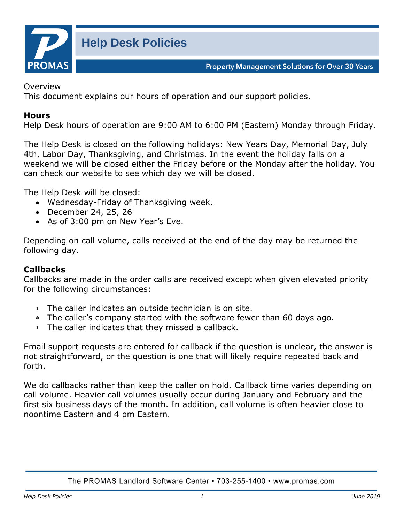

**Property Management Solutions for Over 30 Years** 

Overview

This document explains our hours of operation and our support policies.

## **Hours**

Help Desk hours of operation are 9:00 AM to 6:00 PM (Eastern) Monday through Friday.

The Help Desk is closed on the following holidays: New Years Day, Memorial Day, July 4th, Labor Day, Thanksgiving, and Christmas. In the event the holiday falls on a weekend we will be closed either the Friday before or the Monday after the holiday. You can check our website to see which day we will be closed.

The Help Desk will be closed:

- Wednesday-Friday of Thanksgiving week.
- December 24, 25, 26
- As of 3:00 pm on New Year's Eve.

Depending on call volume, calls received at the end of the day may be returned the following day.

## **Callbacks**

Callbacks are made in the order calls are received except when given elevated priority for the following circumstances:

- The caller indicates an outside technician is on site.
- The caller's company started with the software fewer than 60 days ago.
- The caller indicates that they missed a callback.

Email support requests are entered for callback if the question is unclear, the answer is not straightforward, or the question is one that will likely require repeated back and forth.

We do callbacks rather than keep the caller on hold. Callback time varies depending on call volume. Heavier call volumes usually occur during January and February and the first six business days of the month. In addition, call volume is often heavier close to noontime Eastern and 4 pm Eastern.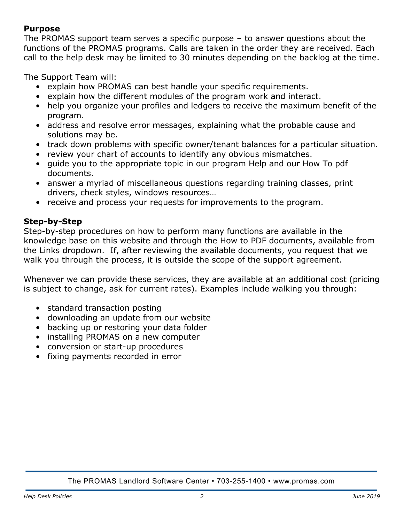## **Purpose**

The PROMAS support team serves a specific purpose – to answer questions about the functions of the PROMAS programs. Calls are taken in the order they are received. Each call to the help desk may be limited to 30 minutes depending on the backlog at the time.

The Support Team will:

- explain how PROMAS can best handle your specific requirements.
- explain how the different modules of the program work and interact.
- help you organize your profiles and ledgers to receive the maximum benefit of the program.
- address and resolve error messages, explaining what the probable cause and solutions may be.
- track down problems with specific owner/tenant balances for a particular situation.
- review your chart of accounts to identify any obvious mismatches.
- guide you to the appropriate topic in our program Help and our How To pdf documents.
- answer a myriad of miscellaneous questions regarding training classes, print drivers, check styles, windows resources…
- receive and process your requests for improvements to the program.

# **Step-by-Step**

Step-by-step procedures on how to perform many functions are available in the knowledge base on this website and through the How to PDF documents, available from the Links dropdown. If, after reviewing the available documents, you request that we walk you through the process, it is outside the scope of the support agreement.

Whenever we can provide these services, they are available at an additional cost (pricing is subject to change, ask for current rates). Examples include walking you through:

- standard transaction posting
- downloading an update from our website
- backing up or restoring your data folder
- installing PROMAS on a new computer
- conversion or start-up procedures
- fixing payments recorded in error